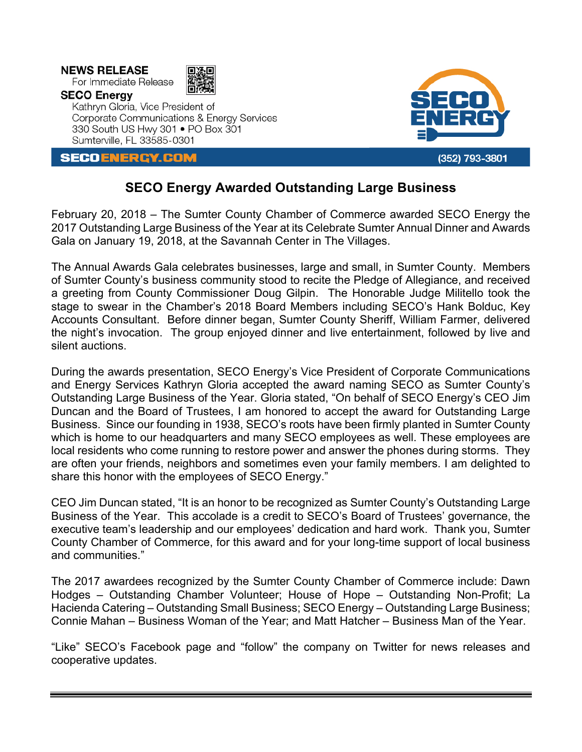**NEWS RELEASE** 

For Immediate Release **SECO Energy** 



Kathryn Gloria, Vice President of Corporate Communications & Energy Services 330 South US Hwy 301 . PO Box 301 Sumterville, FL 33585-0301

**SECOENERGY.COM** 



## **SECO Energy Awarded Outstanding Large Business**

February 20, 2018 – The Sumter County Chamber of Commerce awarded SECO Energy the 2017 Outstanding Large Business of the Year at its Celebrate Sumter Annual Dinner and Awards Gala on January 19, 2018, at the Savannah Center in The Villages.

The Annual Awards Gala celebrates businesses, large and small, in Sumter County. Members of Sumter County's business community stood to recite the Pledge of Allegiance, and received a greeting from County Commissioner Doug Gilpin. The Honorable Judge Militello took the stage to swear in the Chamber's 2018 Board Members including SECO's Hank Bolduc, Key Accounts Consultant. Before dinner began, Sumter County Sheriff, William Farmer, delivered the night's invocation. The group enjoyed dinner and live entertainment, followed by live and silent auctions.

During the awards presentation, SECO Energy's Vice President of Corporate Communications and Energy Services Kathryn Gloria accepted the award naming SECO as Sumter County's Outstanding Large Business of the Year. Gloria stated, "On behalf of SECO Energy's CEO Jim Duncan and the Board of Trustees, I am honored to accept the award for Outstanding Large Business. Since our founding in 1938, SECO's roots have been firmly planted in Sumter County which is home to our headquarters and many SECO employees as well. These employees are local residents who come running to restore power and answer the phones during storms. They are often your friends, neighbors and sometimes even your family members. I am delighted to share this honor with the employees of SECO Energy."

CEO Jim Duncan stated, "It is an honor to be recognized as Sumter County's Outstanding Large Business of the Year. This accolade is a credit to SECO's Board of Trustees' governance, the executive team's leadership and our employees' dedication and hard work. Thank you, Sumter County Chamber of Commerce, for this award and for your long-time support of local business and communities."

The 2017 awardees recognized by the Sumter County Chamber of Commerce include: Dawn Hodges – Outstanding Chamber Volunteer; House of Hope – Outstanding Non-Profit; La Hacienda Catering – Outstanding Small Business; SECO Energy – Outstanding Large Business; Connie Mahan – Business Woman of the Year; and Matt Hatcher – Business Man of the Year.

"Like" SECO's Facebook page and "follow" the company on Twitter for news releases and cooperative updates.